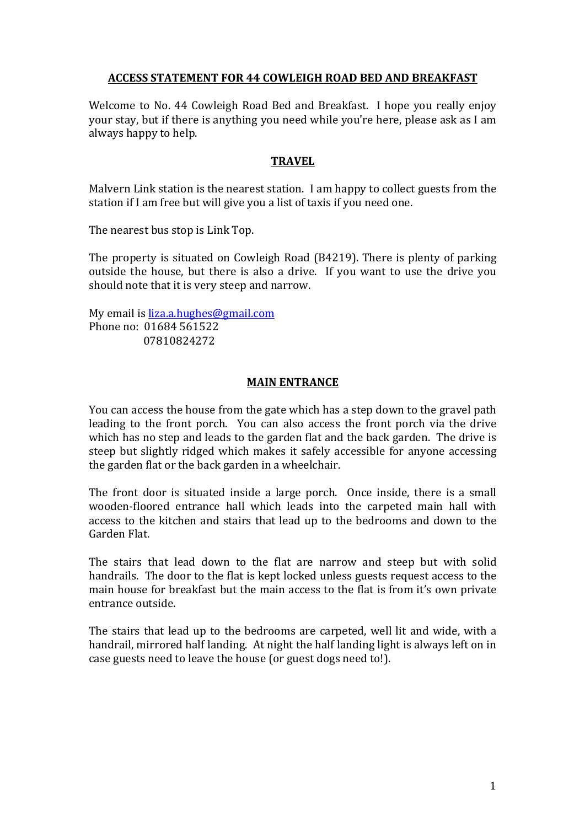# ACCESS STATEMENT FOR 44 COWLEIGH ROAD BED AND BREAKFAST

Welcome to No. 44 Cowleigh Road Bed and Breakfast. I hope you really enjoy your stay, but if there is anything you need while you're here, please ask as I am always happy to help.

### **TRAVEL**

Malvern Link station is the nearest station. I am happy to collect guests from the station if I am free but will give you a list of taxis if you need one.

The nearest bus stop is Link Top.

The property is situated on Cowleigh Road (B4219). There is plenty of parking outside the house, but there is also a drive. If you want to use the drive you should note that it is very steep and narrow.

My email is liza.a.hughes@gmail.com Phone no: 01684 561522 07810824272

#### **MAIN ENTRANCE**

You can access the house from the gate which has a step down to the gravel path leading to the front porch. You can also access the front porch via the drive which has no step and leads to the garden flat and the back garden. The drive is steep but slightly ridged which makes it safely accessible for anyone accessing the garden flat or the back garden in a wheelchair.

The front door is situated inside a large porch. Once inside, there is a small wooden-floored entrance hall which leads into the carpeted main hall with access to the kitchen and stairs that lead up to the bedrooms and down to the Garden Flat.

The stairs that lead down to the flat are narrow and steep but with solid handrails. The door to the flat is kept locked unless guests request access to the main house for breakfast but the main access to the flat is from it's own private entrance outside.

The stairs that lead up to the bedrooms are carpeted, well lit and wide, with a handrail, mirrored half landing. At night the half landing light is always left on in case guests need to leave the house (or guest dogs need to!).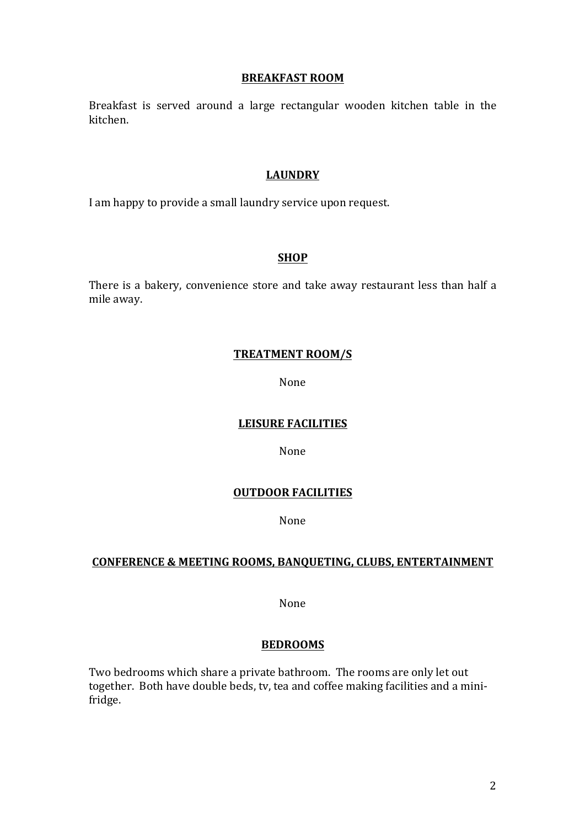#### **BREAKFAST ROOM**

Breakfast is served around a large rectangular wooden kitchen table in the kitchen.

## **LAUNDRY**

I am happy to provide a small laundry service upon request.

# **SHOP**

There is a bakery, convenience store and take away restaurant less than half a mile away.

## **TREATMENT ROOM/S**

None

# **LEISURE FACILITIES**

None

# **OUTDOOR FACILITIES**

None

# **CONFERENCE & MEETING ROOMS, BANQUETING, CLUBS, ENTERTAINMENT**

None

# **BEDROOMS**

Two bedrooms which share a private bathroom. The rooms are only let out together. Both have double beds, tv, tea and coffee making facilities and a minifridge.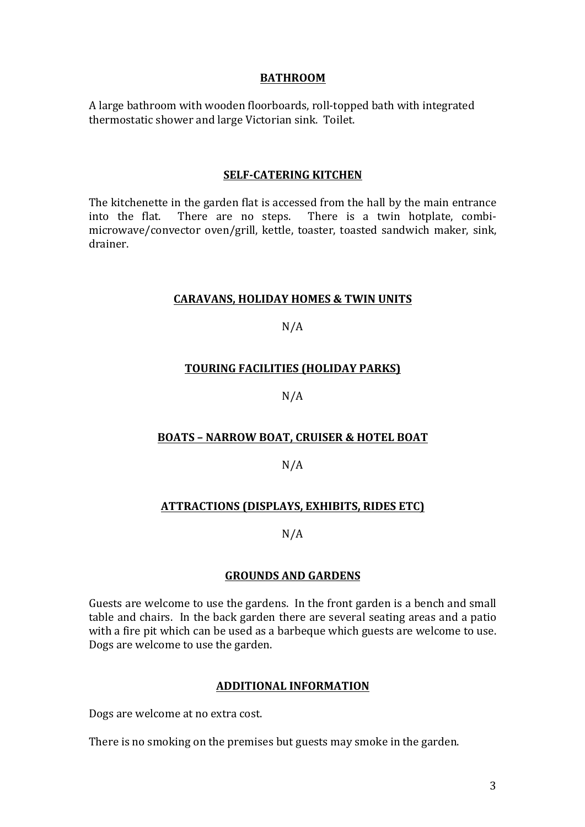## **BATHROOM**

A large bathroom with wooden floorboards, roll-topped bath with integrated thermostatic shower and large Victorian sink. Toilet.

#### **SELF-CATERING KITCHEN**

The kitchenette in the garden flat is accessed from the hall by the main entrance into the flat. There are no steps. There is a twin hotplate, combimicrowave/convector oven/grill, kettle, toaster, toasted sandwich maker, sink, drainer.

#### **CARAVANS, HOLIDAY HOMES & TWIN UNITS**

# $N/A$

# **TOURING FACILITIES (HOLIDAY PARKS)**

# N/A

# **BOATS - NARROW BOAT, CRUISER & HOTEL BOAT**

# N/A

# **ATTRACTIONS (DISPLAYS, EXHIBITS, RIDES ETC)**

# N/A

# **GROUNDS AND GARDENS**

Guests are welcome to use the gardens. In the front garden is a bench and small table and chairs. In the back garden there are several seating areas and a patio with a fire pit which can be used as a barbeque which guests are welcome to use. Dogs are welcome to use the garden.

# **ADDITIONAL INFORMATION**

Dogs are welcome at no extra cost.

There is no smoking on the premises but guests may smoke in the garden.